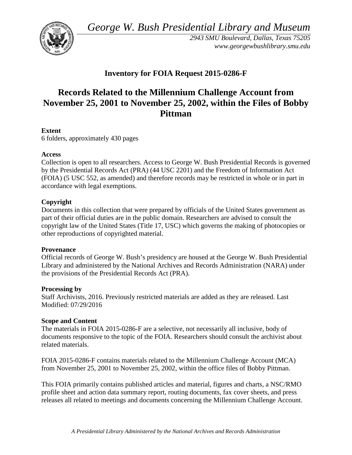*George W. Bush Presidential Library and Museum* 



 *2943 SMU Boulevard, Dallas, Texas 75205 <www.georgewbushlibrary.smu.edu>*

# **Inventory for FOIA Request 2015-0286-F**

# **Records Related to the Millennium Challenge Account from November 25, 2001 to November 25, 2002, within the Files of Bobby Pittman**

# **Extent**

6 folders, approximately 430 pages

#### **Access**

 by the Presidential Records Act (PRA) (44 USC 2201) and the Freedom of Information Act Collection is open to all researchers. Access to George W. Bush Presidential Records is governed (FOIA) (5 USC 552, as amended) and therefore records may be restricted in whole or in part in accordance with legal exemptions.

#### **Copyright**

 Documents in this collection that were prepared by officials of the United States government as part of their official duties are in the public domain. Researchers are advised to consult the copyright law of the United States (Title 17, USC) which governs the making of photocopies or other reproductions of copyrighted material.

#### **Provenance**

 Official records of George W. Bush's presidency are housed at the George W. Bush Presidential Library and administered by the National Archives and Records Administration (NARA) under the provisions of the Presidential Records Act (PRA).

# **Processing by**

Staff Archivists, 2016. Previously restricted materials are added as they are released. Last Modified: 07/29/2016

# **Scope and Content**

The materials in FOIA 2015-0286-F are a selective, not necessarily all inclusive, body of documents responsive to the topic of the FOIA. Researchers should consult the archivist about related materials.

FOIA 2015-0286-F contains materials related to the Millennium Challenge Account (MCA) from November 25, 2001 to November 25, 2002, within the office files of Bobby Pittman.

This FOIA primarily contains published articles and material, figures and charts, a NSC/RMO profile sheet and action data summary report, routing documents, fax cover sheets, and press releases all related to meetings and documents concerning the Millennium Challenge Account.